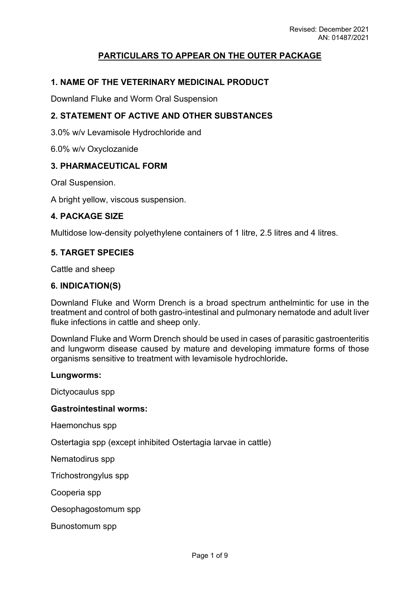## **PARTICULARS TO APPEAR ON THE OUTER PACKAGE**

#### **1. NAME OF THE VETERINARY MEDICINAL PRODUCT**

Downland Fluke and Worm Oral Suspension

#### **2. STATEMENT OF ACTIVE AND OTHER SUBSTANCES**

3.0% w/v Levamisole Hydrochloride and

6.0% w/v Oxyclozanide

#### **3. PHARMACEUTICAL FORM**

Oral Suspension.

A bright yellow, viscous suspension.

#### **4. PACKAGE SIZE**

Multidose low-density polyethylene containers of 1 litre, 2.5 litres and 4 litres.

#### **5. TARGET SPECIES**

Cattle and sheep

#### **6. INDICATION(S)**

Downland Fluke and Worm Drench is a broad spectrum anthelmintic for use in the treatment and control of both gastro-intestinal and pulmonary nematode and adult liver fluke infections in cattle and sheep only.

Downland Fluke and Worm Drench should be used in cases of parasitic gastroenteritis and lungworm disease caused by mature and developing immature forms of those organisms sensitive to treatment with levamisole hydrochloride**.**

#### **Lungworms:**

Dictyocaulus spp

#### **Gastrointestinal worms:**

Haemonchus spp

Ostertagia spp (except inhibited Ostertagia larvae in cattle)

Nematodirus spp

Trichostrongylus spp

Cooperia spp

Oesophagostomum spp

Bunostomum spp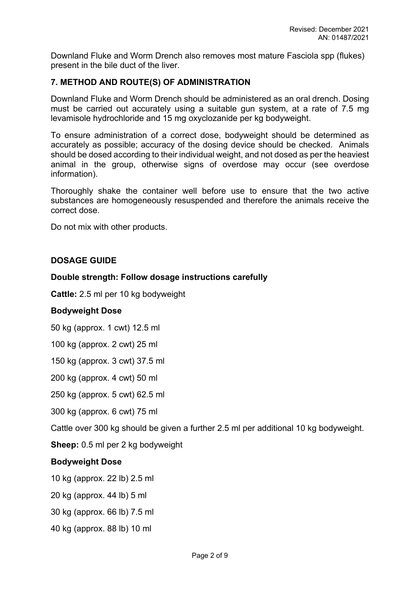Downland Fluke and Worm Drench also removes most mature Fasciola spp (flukes) present in the bile duct of the liver.

## **7. METHOD AND ROUTE(S) OF ADMINISTRATION**

Downland Fluke and Worm Drench should be administered as an oral drench. Dosing must be carried out accurately using a suitable gun system, at a rate of 7.5 mg levamisole hydrochloride and 15 mg oxyclozanide per kg bodyweight.

To ensure administration of a correct dose, bodyweight should be determined as accurately as possible; accuracy of the dosing device should be checked. Animals should be dosed according to their individual weight, and not dosed as per the heaviest animal in the group, otherwise signs of overdose may occur (see overdose information).

Thoroughly shake the container well before use to ensure that the two active substances are homogeneously resuspended and therefore the animals receive the correct dose.

Do not mix with other products.

## **DOSAGE GUIDE**

#### **Double strength: Follow dosage instructions carefully**

**Cattle:** 2.5 ml per 10 kg bodyweight

#### **Bodyweight Dose**

50 kg (approx. 1 cwt) 12.5 ml

100 kg (approx. 2 cwt) 25 ml

150 kg (approx. 3 cwt) 37.5 ml

200 kg (approx. 4 cwt) 50 ml

250 kg (approx. 5 cwt) 62.5 ml

300 kg (approx. 6 cwt) 75 ml

Cattle over 300 kg should be given a further 2.5 ml per additional 10 kg bodyweight.

**Sheep:** 0.5 ml per 2 kg bodyweight

#### **Bodyweight Dose**

10 kg (approx. 22 lb) 2.5 ml

20 kg (approx. 44 lb) 5 ml

30 kg (approx. 66 lb) 7.5 ml

40 kg (approx. 88 lb) 10 ml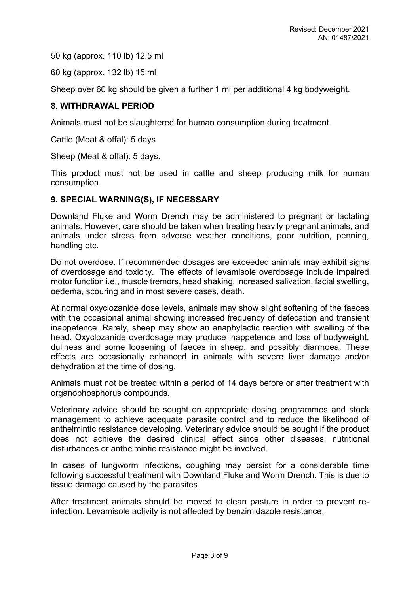50 kg (approx. 110 lb) 12.5 ml

60 kg (approx. 132 lb) 15 ml

Sheep over 60 kg should be given a further 1 ml per additional 4 kg bodyweight.

## **8. WITHDRAWAL PERIOD**

Animals must not be slaughtered for human consumption during treatment.

Cattle (Meat & offal): 5 days

Sheep (Meat & offal): 5 days.

This product must not be used in cattle and sheep producing milk for human consumption.

#### **9. SPECIAL WARNING(S), IF NECESSARY**

Downland Fluke and Worm Drench may be administered to pregnant or lactating animals. However, care should be taken when treating heavily pregnant animals, and animals under stress from adverse weather conditions, poor nutrition, penning, handling etc.

Do not overdose. If recommended dosages are exceeded animals may exhibit signs of overdosage and toxicity. The effects of levamisole overdosage include impaired motor function i.e., muscle tremors, head shaking, increased salivation, facial swelling, oedema, scouring and in most severe cases, death.

At normal oxyclozanide dose levels, animals may show slight softening of the faeces with the occasional animal showing increased frequency of defecation and transient inappetence. Rarely, sheep may show an anaphylactic reaction with swelling of the head. Oxyclozanide overdosage may produce inappetence and loss of bodyweight, dullness and some loosening of faeces in sheep, and possibly diarrhoea. These effects are occasionally enhanced in animals with severe liver damage and/or dehydration at the time of dosing.

Animals must not be treated within a period of 14 days before or after treatment with organophosphorus compounds.

Veterinary advice should be sought on appropriate dosing programmes and stock management to achieve adequate parasite control and to reduce the likelihood of anthelmintic resistance developing. Veterinary advice should be sought if the product does not achieve the desired clinical effect since other diseases, nutritional disturbances or anthelmintic resistance might be involved.

In cases of lungworm infections, coughing may persist for a considerable time following successful treatment with Downland Fluke and Worm Drench. This is due to tissue damage caused by the parasites.

After treatment animals should be moved to clean pasture in order to prevent reinfection. Levamisole activity is not affected by benzimidazole resistance.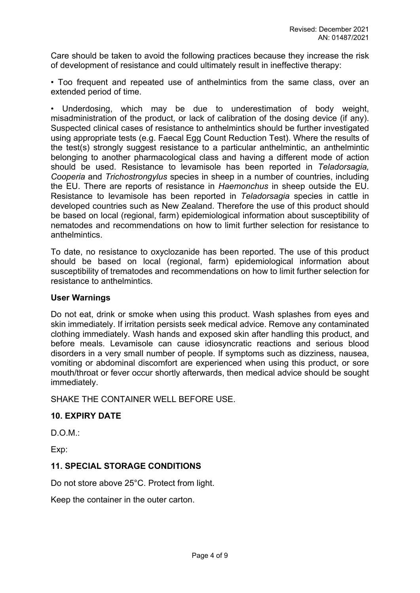Care should be taken to avoid the following practices because they increase the risk of development of resistance and could ultimately result in ineffective therapy:

• Too frequent and repeated use of anthelmintics from the same class, over an extended period of time.

• Underdosing, which may be due to underestimation of body weight, misadministration of the product, or lack of calibration of the dosing device (if any). Suspected clinical cases of resistance to anthelmintics should be further investigated using appropriate tests (e.g. Faecal Egg Count Reduction Test). Where the results of the test(s) strongly suggest resistance to a particular anthelmintic, an anthelmintic belonging to another pharmacological class and having a different mode of action should be used. Resistance to levamisole has been reported in *Teladorsagia, Cooperia* and *Trichostrongylus* species in sheep in a number of countries, including the EU. There are reports of resistance in *Haemonchus* in sheep outside the EU. Resistance to levamisole has been reported in *Teladorsagia* species in cattle in developed countries such as New Zealand. Therefore the use of this product should be based on local (regional, farm) epidemiological information about susceptibility of nematodes and recommendations on how to limit further selection for resistance to anthelmintics.

To date, no resistance to oxyclozanide has been reported. The use of this product should be based on local (regional, farm) epidemiological information about susceptibility of trematodes and recommendations on how to limit further selection for resistance to anthelmintics.

#### **User Warnings**

Do not eat, drink or smoke when using this product. Wash splashes from eyes and skin immediately. If irritation persists seek medical advice. Remove any contaminated clothing immediately. Wash hands and exposed skin after handling this product, and before meals. Levamisole can cause idiosyncratic reactions and serious blood disorders in a very small number of people. If symptoms such as dizziness, nausea, vomiting or abdominal discomfort are experienced when using this product, or sore mouth/throat or fever occur shortly afterwards, then medical advice should be sought immediately.

SHAKE THE CONTAINER WELL BEFORE USE.

#### **10. EXPIRY DATE**

D.O.M.:

Exp:

#### **11. SPECIAL STORAGE CONDITIONS**

Do not store above 25°C. Protect from light.

Keep the container in the outer carton.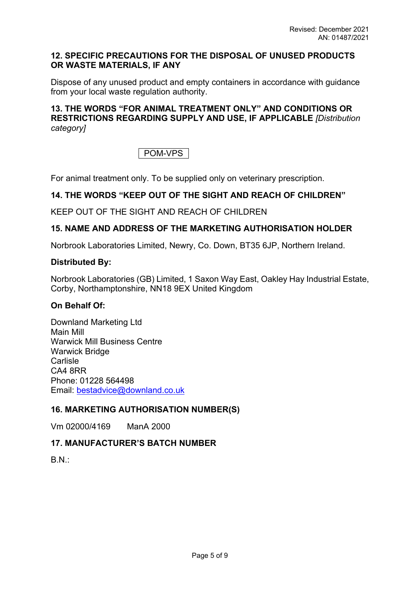#### **12. SPECIFIC PRECAUTIONS FOR THE DISPOSAL OF UNUSED PRODUCTS OR WASTE MATERIALS, IF ANY**

Dispose of any unused product and empty containers in accordance with guidance from your local waste regulation authority.

## **13. THE WORDS "FOR ANIMAL TREATMENT ONLY" AND CONDITIONS OR RESTRICTIONS REGARDING SUPPLY AND USE, IF APPLICABLE** *[Distribution category]*

POM-VPS

For animal treatment only. To be supplied only on veterinary prescription.

## **14. THE WORDS "KEEP OUT OF THE SIGHT AND REACH OF CHILDREN"**

KEEP OUT OF THE SIGHT AND REACH OF CHILDREN

## **15. NAME AND ADDRESS OF THE MARKETING AUTHORISATION HOLDER**

Norbrook Laboratories Limited, Newry, Co. Down, BT35 6JP, Northern Ireland.

#### **Distributed By:**

Norbrook Laboratories (GB) Limited, 1 Saxon Way East, Oakley Hay Industrial Estate, Corby, Northamptonshire, NN18 9EX United Kingdom

#### **On Behalf Of:**

Downland Marketing Ltd Main Mill Warwick Mill Business Centre Warwick Bridge Carlisle CA4 8RR Phone: 01228 564498 Email: [bestadvice@downland.co.uk](mailto:bestadvice@downland.co.uk)

## **16. MARKETING AUTHORISATION NUMBER(S)**

Vm 02000/4169 ManA 2000

## **17. MANUFACTURER'S BATCH NUMBER**

B.N.: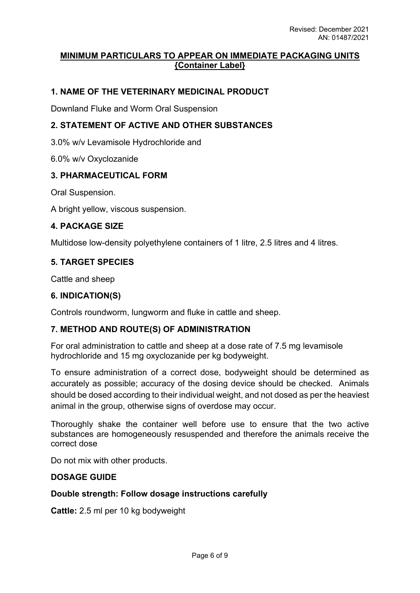### **MINIMUM PARTICULARS TO APPEAR ON IMMEDIATE PACKAGING UNITS {Container Label}**

## **1. NAME OF THE VETERINARY MEDICINAL PRODUCT**

Downland Fluke and Worm Oral Suspension

#### **2. STATEMENT OF ACTIVE AND OTHER SUBSTANCES**

3.0% w/v Levamisole Hydrochloride and

6.0% w/v Oxyclozanide

#### **3. PHARMACEUTICAL FORM**

Oral Suspension.

A bright yellow, viscous suspension.

#### **4. PACKAGE SIZE**

Multidose low-density polyethylene containers of 1 litre, 2.5 litres and 4 litres.

#### **5. TARGET SPECIES**

Cattle and sheep

#### **6. INDICATION(S)**

Controls roundworm, lungworm and fluke in cattle and sheep.

#### **7. METHOD AND ROUTE(S) OF ADMINISTRATION**

For oral administration to cattle and sheep at a dose rate of 7.5 mg levamisole hydrochloride and 15 mg oxyclozanide per kg bodyweight.

To ensure administration of a correct dose, bodyweight should be determined as accurately as possible; accuracy of the dosing device should be checked. Animals should be dosed according to their individual weight, and not dosed as per the heaviest animal in the group, otherwise signs of overdose may occur.

Thoroughly shake the container well before use to ensure that the two active substances are homogeneously resuspended and therefore the animals receive the correct dose

Do not mix with other products.

#### **DOSAGE GUIDE**

#### **Double strength: Follow dosage instructions carefully**

**Cattle:** 2.5 ml per 10 kg bodyweight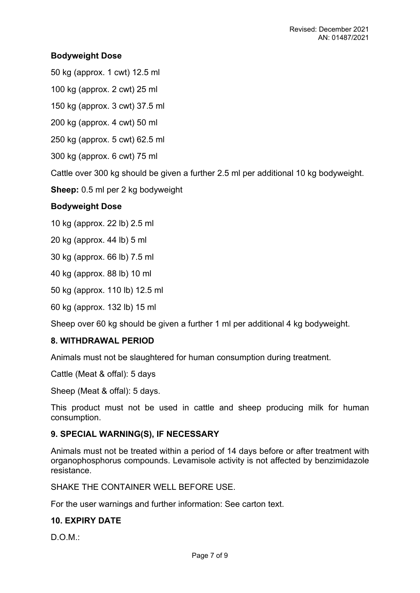## **Bodyweight Dose**

50 kg (approx. 1 cwt) 12.5 ml

100 kg (approx. 2 cwt) 25 ml

150 kg (approx. 3 cwt) 37.5 ml

200 kg (approx. 4 cwt) 50 ml

250 kg (approx. 5 cwt) 62.5 ml

300 kg (approx. 6 cwt) 75 ml

Cattle over 300 kg should be given a further 2.5 ml per additional 10 kg bodyweight.

**Sheep:** 0.5 ml per 2 kg bodyweight

## **Bodyweight Dose**

10 kg (approx. 22 lb) 2.5 ml

20 kg (approx. 44 lb) 5 ml

30 kg (approx. 66 lb) 7.5 ml

40 kg (approx. 88 lb) 10 ml

50 kg (approx. 110 lb) 12.5 ml

60 kg (approx. 132 lb) 15 ml

Sheep over 60 kg should be given a further 1 ml per additional 4 kg bodyweight.

#### **8. WITHDRAWAL PERIOD**

Animals must not be slaughtered for human consumption during treatment.

Cattle (Meat & offal): 5 days

Sheep (Meat & offal): 5 days.

This product must not be used in cattle and sheep producing milk for human consumption.

#### **9. SPECIAL WARNING(S), IF NECESSARY**

Animals must not be treated within a period of 14 days before or after treatment with organophosphorus compounds. Levamisole activity is not affected by benzimidazole resistance.

SHAKE THE CONTAINER WELL BEFORE USE.

For the user warnings and further information: See carton text.

## **10. EXPIRY DATE**

 $D$  $O$  $M$  $\cdot$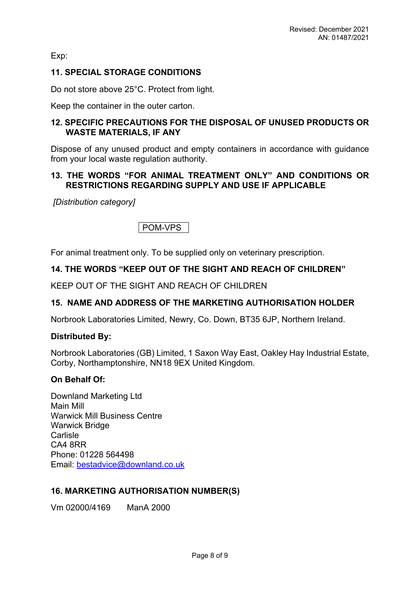Exp:

## **11. SPECIAL STORAGE CONDITIONS**

Do not store above 25°C. Protect from light.

Keep the container in the outer carton.

### **12. SPECIFIC PRECAUTIONS FOR THE DISPOSAL OF UNUSED PRODUCTS OR WASTE MATERIALS, IF ANY**

Dispose of any unused product and empty containers in accordance with guidance from your local waste regulation authority.

## **13. THE WORDS "FOR ANIMAL TREATMENT ONLY" AND CONDITIONS OR RESTRICTIONS REGARDING SUPPLY AND USE IF APPLICABLE**

 *[Distribution category]*

POM-VPS

For animal treatment only. To be supplied only on veterinary prescription.

## **14. THE WORDS "KEEP OUT OF THE SIGHT AND REACH OF CHILDREN"**

KEEP OUT OF THE SIGHT AND REACH OF CHILDREN

## **15. NAME AND ADDRESS OF THE MARKETING AUTHORISATION HOLDER**

Norbrook Laboratories Limited, Newry, Co. Down, BT35 6JP, Northern Ireland.

#### **Distributed By:**

Norbrook Laboratories (GB) Limited, 1 Saxon Way East, Oakley Hay Industrial Estate, Corby, Northamptonshire, NN18 9EX United Kingdom.

#### **On Behalf Of:**

Downland Marketing Ltd Main Mill Warwick Mill Business Centre Warwick Bridge **Carlisle** CA4 8RR Phone: 01228 564498 Email: [bestadvice@downland.co.uk](mailto:bestadvice@downland.co.uk)

#### **16. MARKETING AUTHORISATION NUMBER(S)**

Vm 02000/4169 ManA 2000